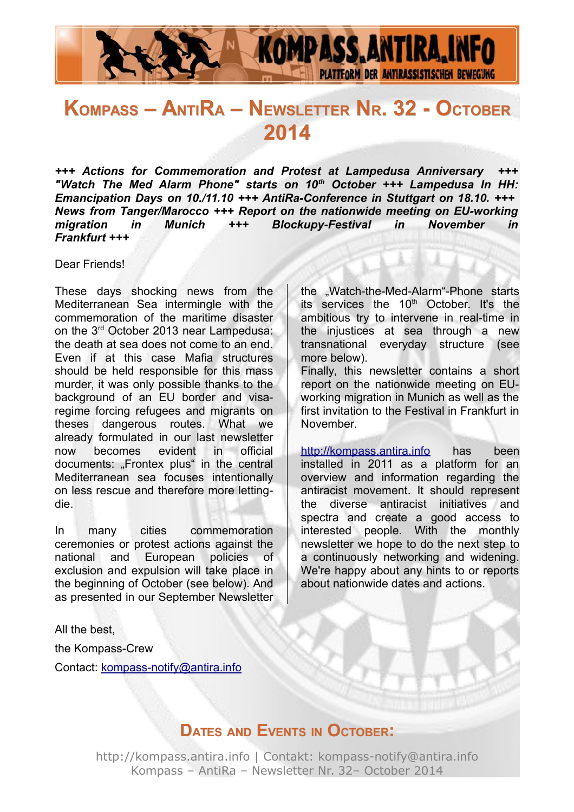

# **KOMPASS – ANTIRA – NEWSLETTER NR. 32 - OCTOBER 2014**

*+++ Actions for Commemoration and Protest at Lampedusa Anniversary +++ "Watch The Med Alarm Phone" starts on 10th October +++ Lampedusa In HH: Emancipation Days on 10./11.10 +++ AntiRa-Conference in Stuttgart on 18.10. +++ News from Tanger/Marocco +++ Report on the nationwide meeting on EU-working migration in Munich +++ Blockupy-Festival in November in Frankfurt +++*

Dear Friends!

These days shocking news from the Mediterranean Sea intermingle with the commemoration of the maritime disaster on the 3rd October 2013 near Lampedusa: the death at sea does not come to an end. Even if at this case Mafia structures should be held responsible for this mass murder, it was only possible thanks to the background of an EU border and visaregime forcing refugees and migrants on theses dangerous routes. What we already formulated in our last newsletter now becomes evident in official documents: "Frontex plus" in the central Mediterranean sea focuses intentionally on less rescue and therefore more lettingdie.

In many cities commemoration ceremonies or protest actions against the national and European policies of exclusion and expulsion will take place in the beginning of October (see below). And as presented in our September Newsletter the "Watch-the-Med-Alarm"-Phone starts its services the 10<sup>th</sup> October. It's the ambitious try to intervene in real-time in the injustices at sea through a new transnational everyday structure (see more below).

Finally, this newsletter contains a short report on the nationwide meeting on EUworking migration in Munich as well as the first invitation to the Festival in Frankfurt in November.

http://kompass.antira.info has been installed in 2011 as a platform for an overview and information regarding the antiracist movement. It should represent the diverse antiracist initiatives and spectra and create a good access to interested people. With the monthly newsletter we hope to do the next step to a continuously networking and widening. We're happy about any hints to or reports about nationwide dates and actions.

All the best,

the Kompass-Crew

Contact: [kompass-notify@antira.inf](mailto:kompass-notify@antira.info)o

# **DATES AND EVENTS IN OCTOBER:**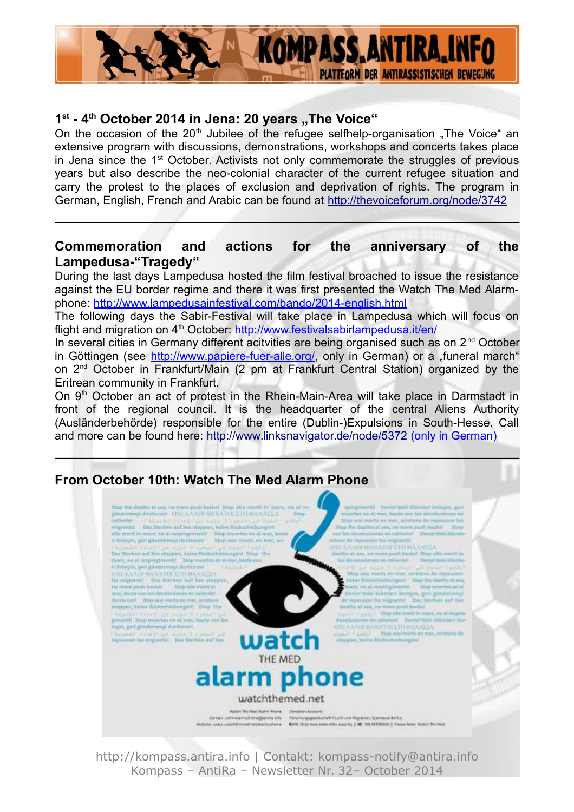

#### 1<sup>st</sup> - 4<sup>th</sup> October 2014 in Jena: 20 years "The Voice"

On the occasion of the 20<sup>th</sup> Jubilee of the refugee selfhelp-organisation . The Voice an extensive program with discussions, demonstrations, workshops and concerts takes place in Jena since the 1<sup>st</sup> October. Activists not only commemorate the struggles of previous years but also describe the neo-colonial character of the current refugee situation and carry the protest to the places of exclusion and deprivation of rights. The program in German, English, French and Arabic can be found at<http://thevoiceforum.org/node/3742>

#### **Commemoration and actions for the anniversary of the Lampedusa-"Tragedy"**

During the last days Lampedusa hosted the film festival broached to issue the resistance against the EU border regime and there it was first presented the Watch The Med Alarmphone:<http://www.lampedusainfestival.com/bando/2014-english.html>

The following days the Sabir-Festival will take place in Lampedusa which will focus on flight and migration on 4<sup>th</sup> October:<http://www.festivalsabirlampedusa.it/en/>

In several cities in Germany different acitvities are being organised such as on 2<sup>nd</sup> October in Göttingen (see [http://www.papiere-fuer-alle.org/,](http://www.papiere-fuer-alle.org/) only in German) or a "funeral march" on 2nd October in Frankfurt/Main (2 pm at Frankfurt Central Station) organized by the Eritrean community in Frankfurt.

On 9<sup>th</sup> October an act of protest in the Rhein-Main-Area will take place in Darmstadt in front of the regional council. It is the headquarter of the central Aliens Authority (Ausländerbehörde) responsible for the entire (Dublin-)Expulsions in South-Hesse. Call and more can be found here:<http://www.linksnavigator.de/node/5372>(only in German)

## **From October 10th: Watch The Med Alarm Phone**

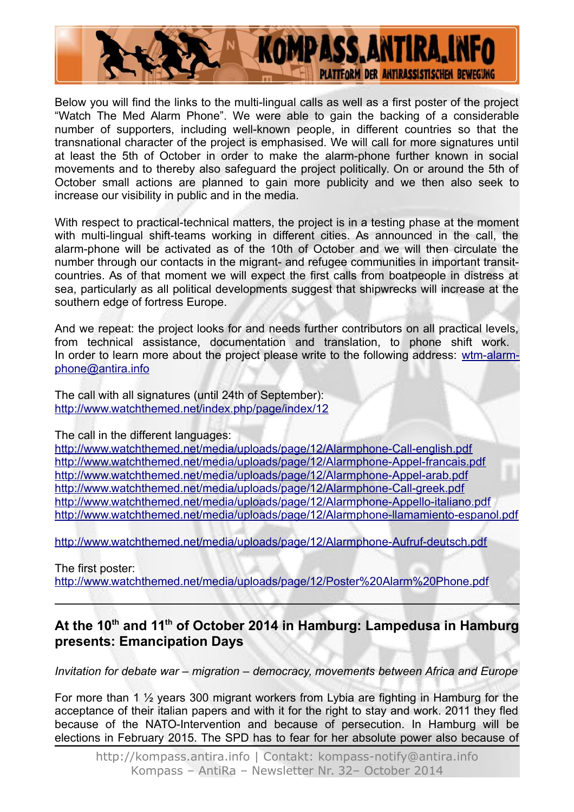

Below you will find the links to the multi-lingual calls as well as a first poster of the project "Watch The Med Alarm Phone". We were able to gain the backing of a considerable number of supporters, including well-known people, in different countries so that the transnational character of the project is emphasised. We will call for more signatures until at least the 5th of October in order to make the alarm-phone further known in social movements and to thereby also safeguard the project politically. On or around the 5th of October small actions are planned to gain more publicity and we then also seek to increase our visibility in public and in the media.

With respect to practical-technical matters, the project is in a testing phase at the moment with multi-lingual shift-teams working in different cities. As announced in the call, the alarm-phone will be activated as of the 10th of October and we will then circulate the number through our contacts in the migrant- and refugee communities in important transitcountries. As of that moment we will expect the first calls from boatpeople in distress at sea, particularly as all political developments suggest that shipwrecks will increase at the southern edge of fortress Europe.

And we repeat: the project looks for and needs further contributors on all practical levels, from technical assistance, documentation and translation, to phone shift work. In order to learn more about the project please write to the following address: [wtm-alarm](mailto:wtm-alarm-phone@antira.info)[phone@antira.info](mailto:wtm-alarm-phone@antira.info)

The call with all signatures (until 24th of September): <http://www.watchthemed.net/index.php/page/index/12>

The call in the different languages:

<http://www.watchthemed.net/media/uploads/page/12/Alarmphone-Call-english.pdf> <http://www.watchthemed.net/media/uploads/page/12/Alarmphone-Appel-francais.pdf> <http://www.watchthemed.net/media/uploads/page/12/Alarmphone-Appel-arab.pdf> <http://www.watchthemed.net/media/uploads/page/12/Alarmphone-Call-greek.pdf> <http://www.watchthemed.net/media/uploads/page/12/Alarmphone-Appello-italiano.pdf> <http://www.watchthemed.net/media/uploads/page/12/Alarmphone-llamamiento-espanol.pdf>

<http://www.watchthemed.net/media/uploads/page/12/Alarmphone-Aufruf-deutsch.pdf>

The first poster:

<http://www.watchthemed.net/media/uploads/page/12/Poster%20Alarm%20Phone.pdf>

#### **At the 10th and 11th of October 2014 in Hamburg: Lampedusa in Hamburg presents: Emancipation Days**

*Invitation for debate war – migration – democracy, movements between Africa and Europe*

For more than 1 ½ years 300 migrant workers from Lybia are fighting in Hamburg for the acceptance of their italian papers and with it for the right to stay and work. 2011 they fled because of the NATO-Intervention and because of persecution. In Hamburg will be elections in February 2015. The SPD has to fear for her absolute power also because of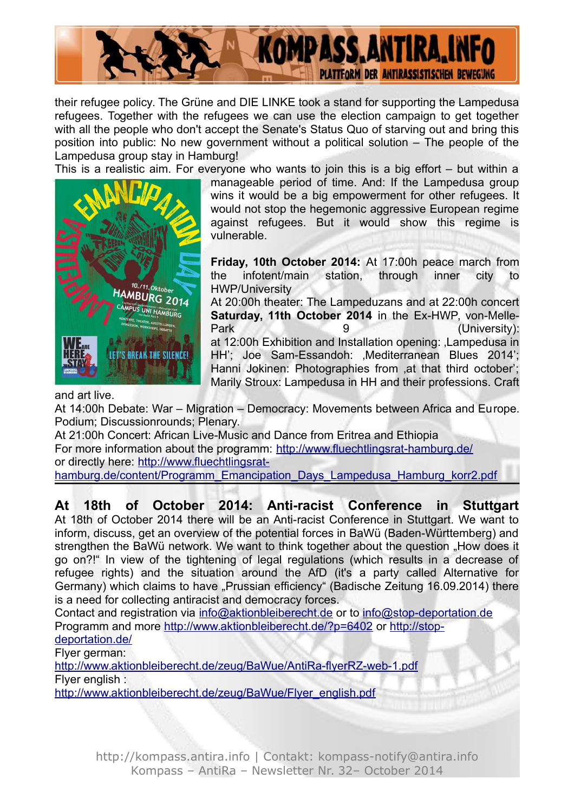

their refugee policy. The Grüne and DIE LINKE took a stand for supporting the Lampedusa refugees. Together with the refugees we can use the election campaign to get together with all the people who don't accept the Senate's Status Quo of starving out and bring this position into public: No new government without a political solution – The people of the Lampedusa group stay in Hamburg!

This is a realistic aim. For everyone who wants to join this is a big effort – but within a



manageable period of time. And: If the Lampedusa group wins it would be a big empowerment for other refugees. It would not stop the hegemonic aggressive European regime against refugees. But it would show this regime is vulnerable.

**Friday, 10th October 2014:** At 17:00h peace march from the infotent/main station, through inner city to HWP/University

At 20:00h theater: The Lampeduzans and at 22:00h concert **Saturday, 11th October 2014** in the Ex-HWP, von-Melle-Park 9 (University): at 12:00h Exhibition and Installation opening: , Lampedusa in HH'; Joe Sam-Essandoh: Mediterranean Blues 2014'; Hanni Jokinen: Photographies from at that third october'; Marily Stroux: Lampedusa in HH and their professions. Craft

and art live.

At 14:00h Debate: War – Migration – Democracy: Movements between Africa and Europe. Podium; Discussionrounds; Plenary.

At 21:00h Concert: African Live-Music and Dance from Eritrea and Ethiopia For more information about the programm: <http://www.fluechtlingsrat-hamburg.de/> or directly here: [http://www.fluechtlingsrat](http://www.fluechtlingsrat-hamburg.de/content/Programm_Emancipation_Days_Lampedusa_Hamburg_korr2.pdf)[hamburg.de/content/Programm\\_Emancipation\\_Days\\_Lampedusa\\_Hamburg\\_korr2.pdf](http://www.fluechtlingsrat-hamburg.de/content/Programm_Emancipation_Days_Lampedusa_Hamburg_korr2.pdf)

#### **At 18th of October 2014: Anti-racist Conference in Stuttgart**

At 18th of October 2014 there will be an Anti-racist Conference in Stuttgart. We want to inform, discuss, get an overview of the potential forces in BaWü (Baden-Württemberg) and strengthen the BaWü network. We want to think together about the question "How does it go on?!" In view of the tightening of legal regulations (which results in a decrease of refugee rights) and the situation around the AfD (it's a party called Alternative for Germany) which claims to have "Prussian efficiency" (Badische Zeitung 16.09.2014) there is a need for collecting antiracist and democracy forces.

Contact and registration via [info@aktionbleiberecht.de](mailto:info@aktionbleiberecht.de) or to [info@stop-deportation.de](mailto:info@stop-deportation.de) Programm and more<http://www.aktionbleiberecht.de/?p=6402>or [http://stop](http://stop-deportation.de/)[deportation.de/](http://stop-deportation.de/)

Flyer german:

<http://www.aktionbleiberecht.de/zeug/BaWue/AntiRa-flyerRZ-web-1.pdf> Flyer english :

[http://www.aktionbleiberecht.de/zeug/BaWue/Flyer\\_english.pdf](http://www.aktionbleiberecht.de/zeug/BaWue/Flyer_english.pdf)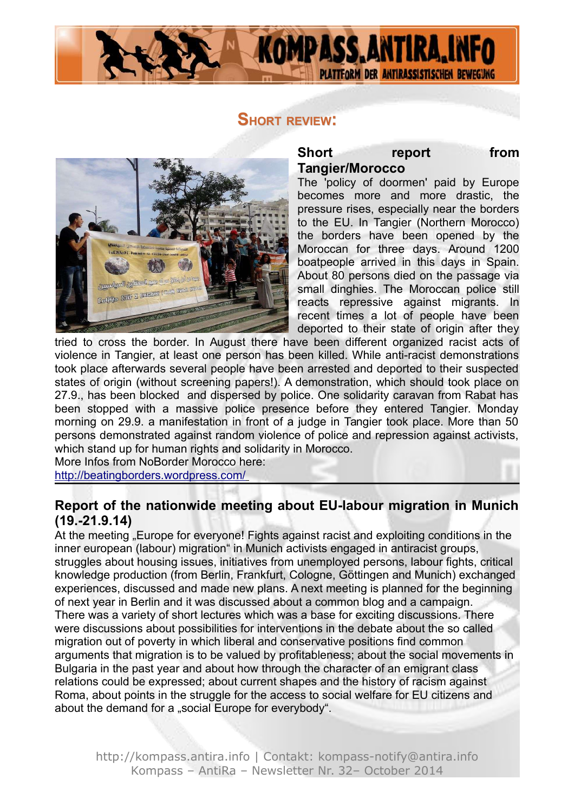

### **SHORT REVIEW:**



#### **Short** report from **Tangier/Morocco**

The 'policy of doormen' paid by Europe becomes more and more drastic, the pressure rises, especially near the borders to the EU. In Tangier (Northern Morocco) the borders have been opened by the Moroccan for three days. Around 1200 boatpeople arrived in this days in Spain. About 80 persons died on the passage via small dinghies. The Moroccan police still reacts repressive against migrants. In recent times a lot of people have been deported to their state of origin after they

tried to cross the border. In August there have been different organized racist acts of violence in Tangier, at least one person has been killed. While anti-racist demonstrations took place afterwards several people have been arrested and deported to their suspected states of origin (without screening papers!). A demonstration, which should took place on 27.9., has been blocked and dispersed by police. One solidarity caravan from Rabat has been stopped with a massive police presence before they entered Tangier. Monday morning on 29.9. a manifestation in front of a judge in Tangier took place. More than 50 persons demonstrated against random violence of police and repression against activists, which stand up for human rights and solidarity in Morocco.

More Infos from NoBorder Morocco here: <http://beatingborders.wordpress.com/>

## **Report of the nationwide meeting about EU-labour migration in Munich (19.-21.9.14)**

At the meeting "Europe for everyone! Fights against racist and exploiting conditions in the inner european (labour) migration" in Munich activists engaged in antiracist groups, struggles about housing issues, initiatives from unemployed persons, labour fights, critical knowledge production (from Berlin, Frankfurt, Cologne, Göttingen and Munich) exchanged experiences, discussed and made new plans. A next meeting is planned for the beginning of next year in Berlin and it was discussed about a common blog and a campaign. There was a variety of short lectures which was a base for exciting discussions. There were discussions about possibilities for interventions in the debate about the so called migration out of poverty in which liberal and conservative positions find common arguments that migration is to be valued by profitableness; about the social movements in Bulgaria in the past year and about how through the character of an emigrant class relations could be expressed; about current shapes and the history of racism against Roma, about points in the struggle for the access to social welfare for EU citizens and about the demand for a "social Europe for everybody".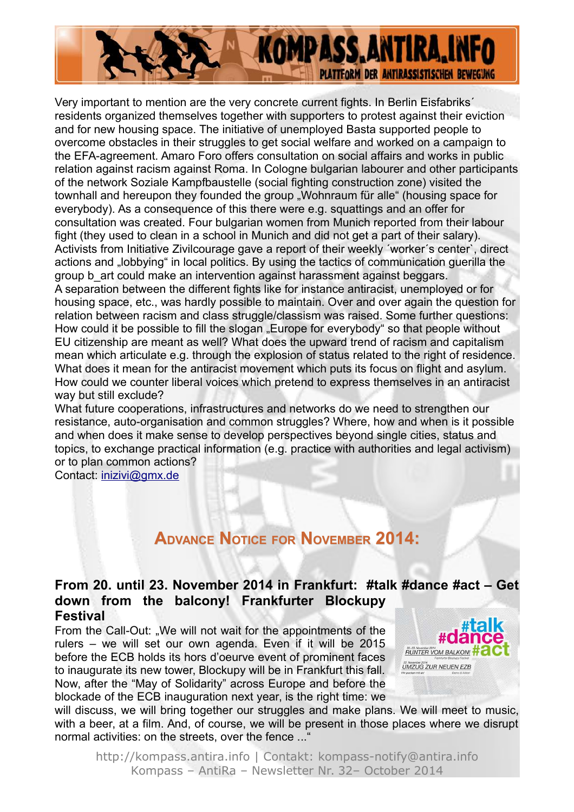

Very important to mention are the very concrete current fights. In Berlin Eisfabriks´ residents organized themselves together with supporters to protest against their eviction and for new housing space. The initiative of unemployed Basta supported people to overcome obstacles in their struggles to get social welfare and worked on a campaign to the EFA-agreement. Amaro Foro offers consultation on social affairs and works in public relation against racism against Roma. In Cologne bulgarian labourer and other participants of the network Soziale Kampfbaustelle (social fighting construction zone) visited the townhall and hereupon they founded the group "Wohnraum für alle" (housing space for everybody). As a consequence of this there were e.g. squattings and an offer for consultation was created. Four bulgarian women from Munich reported from their labour fight (they used to clean in a school in Munich and did not get a part of their salary). Activists from Initiative Zivilcourage gave a report of their weekly ´worker´s center`, direct actions and "lobbying" in local politics. By using the tactics of communication guerilla the group b art could make an intervention against harassment against beggars. A separation between the different fights like for instance antiracist, unemployed or for housing space, etc., was hardly possible to maintain. Over and over again the question for relation between racism and class struggle/classism was raised. Some further questions: How could it be possible to fill the slogan "Europe for everybody" so that people without EU citizenship are meant as well? What does the upward trend of racism and capitalism mean which articulate e.g. through the explosion of status related to the right of residence. What does it mean for the antiracist movement which puts its focus on flight and asylum. How could we counter liberal voices which pretend to express themselves in an antiracist way but still exclude?

What future cooperations, infrastructures and networks do we need to strengthen our resistance, auto-organisation and common struggles? Where, how and when is it possible and when does it make sense to develop perspectives beyond single cities, status and topics, to exchange practical information (e.g. practice with authorities and legal activism) or to plan common actions?

Contact: [inizivi@gmx.de](mailto:inizivi@gmx.de)

# **ADVANCE NOTICE FOR NOVEMBER 2014:**

#### **From 20. until 23. November 2014 in Frankfurt: #talk #dance #act – Get down from the balcony! Frankfurter Blockupy Festival**

From the Call-Out: ..We will not wait for the appointments of the rulers – we will set our own agenda. Even if it will be 2015 before the ECB holds its hors d'oeurve event of prominent faces to inaugurate its new tower, Blockupy will be in Frankfurt this fall. Now, after the "May of Solidarity" across Europe and before the blockade of the ECB inauguration next year, is the right time: we



will discuss, we will bring together our struggles and make plans. We will meet to music, with a beer, at a film. And, of course, we will be present in those places where we disrupt normal activities: on the streets, over the fence ..."